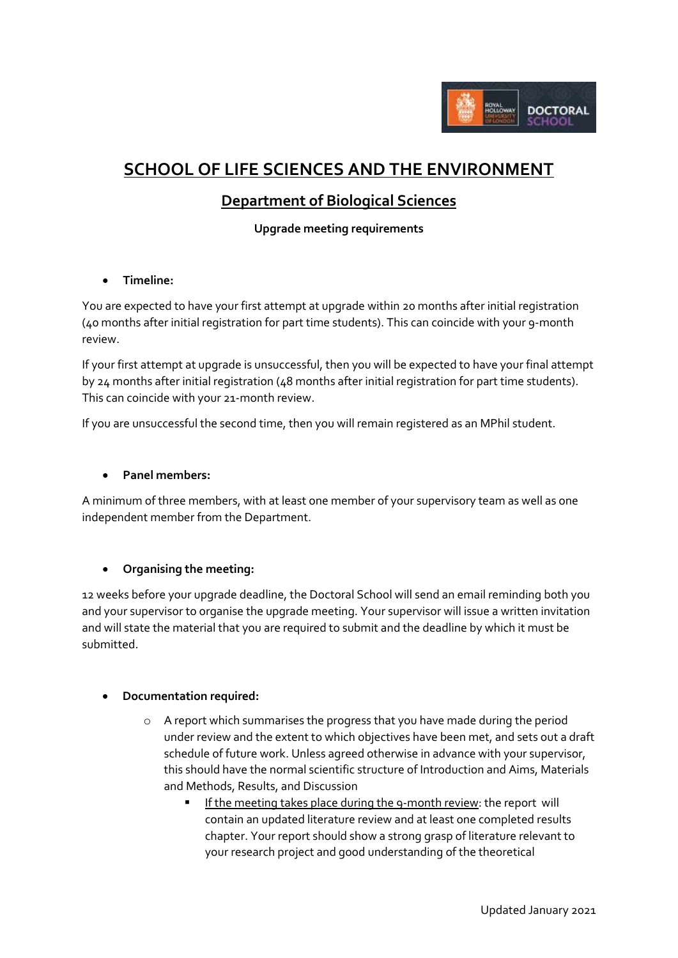

# **SCHOOL OF LIFE SCIENCES AND THE ENVIRONMENT**

## **Department of Biological Sciences**

**Upgrade meeting requirements**

**Timeline:**

You are expected to have your first attempt at upgrade within 20 months after initial registration (40 months after initial registration for part time students). This can coincide with your 9-month review.

If your first attempt at upgrade is unsuccessful, then you will be expected to have your final attempt by 24 months after initial registration (48 months after initial registration for part time students). This can coincide with your 21-month review.

If you are unsuccessful the second time, then you will remain registered as an MPhil student.

## **Panel members:**

A minimum of three members, with at least one member of your supervisory team as well as one independent member from the Department.

## **Organising the meeting:**

12 weeks before your upgrade deadline, the Doctoral School will send an email reminding both you and your supervisor to organise the upgrade meeting. Your supervisor will issue a written invitation and will state the material that you are required to submit and the deadline by which it must be submitted.

#### **Documentation required:**

- o A report which summarises the progress that you have made during the period under review and the extent to which objectives have been met, and sets out a draft schedule of future work. Unless agreed otherwise in advance with your supervisor, this should have the normal scientific structure of Introduction and Aims, Materials and Methods, Results, and Discussion
	- If the meeting takes place during the 9-month review: the report will contain an updated literature review and at least one completed results chapter. Your report should show a strong grasp of literature relevant to your research project and good understanding of the theoretical